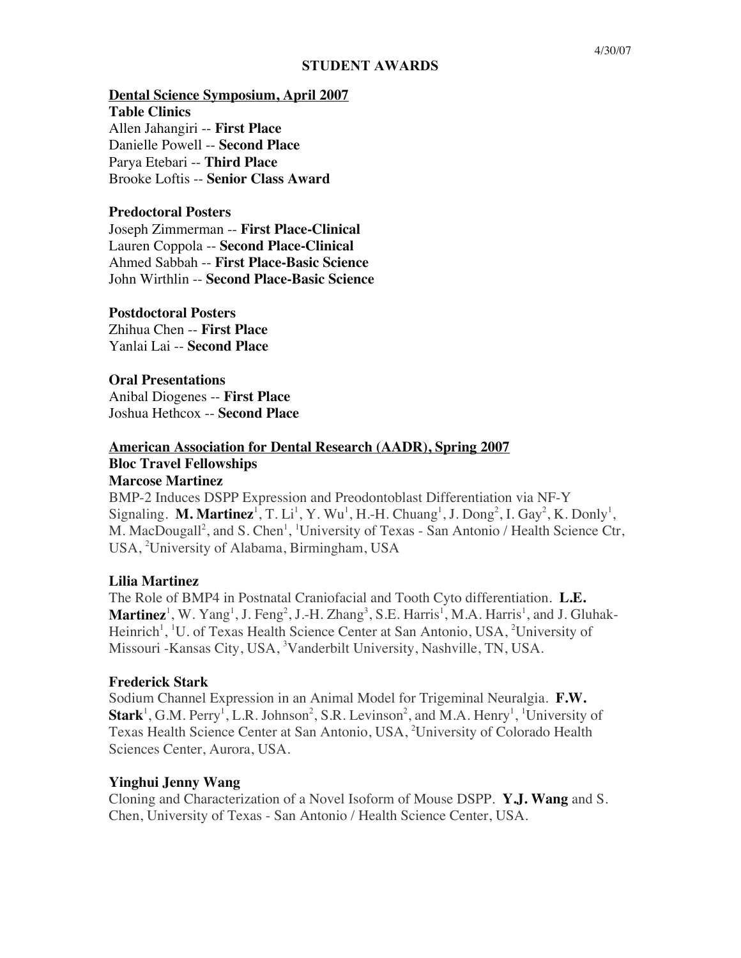#### **STUDENT AWARDS**

#### **Dental Science Symposium, April 2007**

**Table Clinics** Allen Jahangiri -- **First Place** Danielle Powell -- **Second Place** Parya Etebari -- **Third Place** Brooke Loftis -- **Senior Class Award**

### **Predoctoral Posters**

Joseph Zimmerman -- **First Place-Clinical** Lauren Coppola -- **Second Place-Clinical** Ahmed Sabbah -- **First Place-Basic Science** John Wirthlin -- **Second Place-Basic Science**

#### **Postdoctoral Posters**

Zhihua Chen -- **First Place** Yanlai Lai -- **Second Place**

#### **Oral Presentations**

Anibal Diogenes -- **First Place** Joshua Hethcox -- **Second Place**

# **American Association for Dental Research (AADR), Spring 2007 Bloc Travel Fellowships**

## **Marcose Martinez**

BMP-2 Induces DSPP Expression and Preodontoblast Differentiation via NF-Y Signaling. **M. Martinez**<sup>1</sup>, T. Li<sup>1</sup>, Y. Wu<sup>1</sup>, H.-H. Chuang<sup>1</sup>, J. Dong<sup>2</sup>, I. Gay<sup>2</sup>, K. Donly<sup>1</sup>, M. MacDougall<sup>2</sup>, and S. Chen<sup>1</sup>, <sup>1</sup>University of Texas - San Antonio / Health Science Ctr, USA, <sup>2</sup>University of Alabama, Birmingham, USA

#### **Lilia Martinez**

The Role of BMP4 in Postnatal Craniofacial and Tooth Cyto differentiation. **L.E. Martinez**<sup>1</sup>, W. Yang<sup>1</sup>, J. Feng<sup>2</sup>, J.-H. Zhang<sup>3</sup>, S.E. Harris<sup>1</sup>, M.A. Harris<sup>1</sup>, and J. Gluhak-Heinrich<sup>1</sup>, <sup>1</sup>U. of Texas Health Science Center at San Antonio, USA, <sup>2</sup>University of Missouri -Kansas City, USA, <sup>3</sup>Vanderbilt University, Nashville, TN, USA.

#### **Frederick Stark**

Sodium Channel Expression in an Animal Model for Trigeminal Neuralgia. **F.W.**   $Start<sup>1</sup>$ , G.M. Perry<sup>1</sup>, L.R. Johnson<sup>2</sup>, S.R. Levinson<sup>2</sup>, and M.A. Henry<sup>1</sup>, <sup>1</sup>University of Texas Health Science Center at San Antonio, USA, 2 University of Colorado Health Sciences Center, Aurora, USA.

#### **Yinghui Jenny Wang**

Cloning and Characterization of a Novel Isoform of Mouse DSPP. **Y.J. Wang** and S. Chen, University of Texas - San Antonio / Health Science Center, USA.